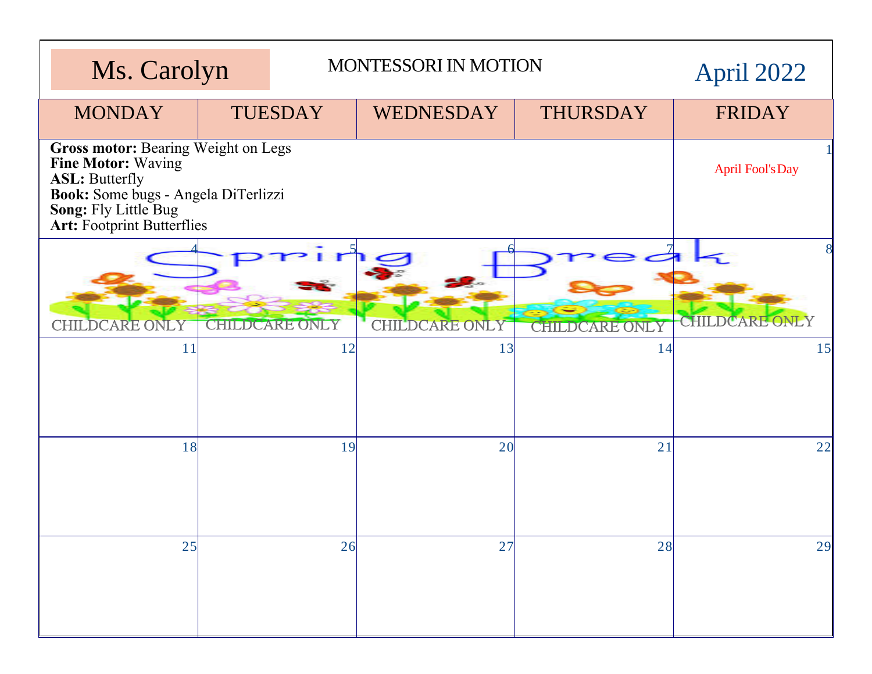| Ms. Carolyn                                                                                                                                                                            |                         | <b>MONTESSORI IN MOTION</b> |                       |                       | April 2022            |
|----------------------------------------------------------------------------------------------------------------------------------------------------------------------------------------|-------------------------|-----------------------------|-----------------------|-----------------------|-----------------------|
| <b>MONDAY</b>                                                                                                                                                                          | <b>TUESDAY</b>          |                             | WEDNESDAY             | <b>THURSDAY</b>       | <b>FRIDAY</b>         |
| Gross motor: Bearing Weight on Legs<br>Fine Motor: Waving<br><b>ASL: Butterfly</b><br>Book: Some bugs - Angela DiTerlizzi<br>Song: Fly Little Bug<br><b>Art: Footprint Butterflies</b> | <b>April Fool's Day</b> |                             |                       |                       |                       |
| <b>CHILDCARE ONLY</b>                                                                                                                                                                  |                         | <b>CHILDCARE ONLY</b>       | <b>CHILDCARE ONLY</b> | <b>CHILDCARE ONLY</b> | <b>CHILDCARE ONLY</b> |
| 11                                                                                                                                                                                     |                         | 12                          | 13                    | 14                    | 15                    |
| 18                                                                                                                                                                                     |                         | 19                          | 20                    | 21                    | 22                    |
| 25                                                                                                                                                                                     |                         | 26                          | 27                    | 28                    | 29                    |